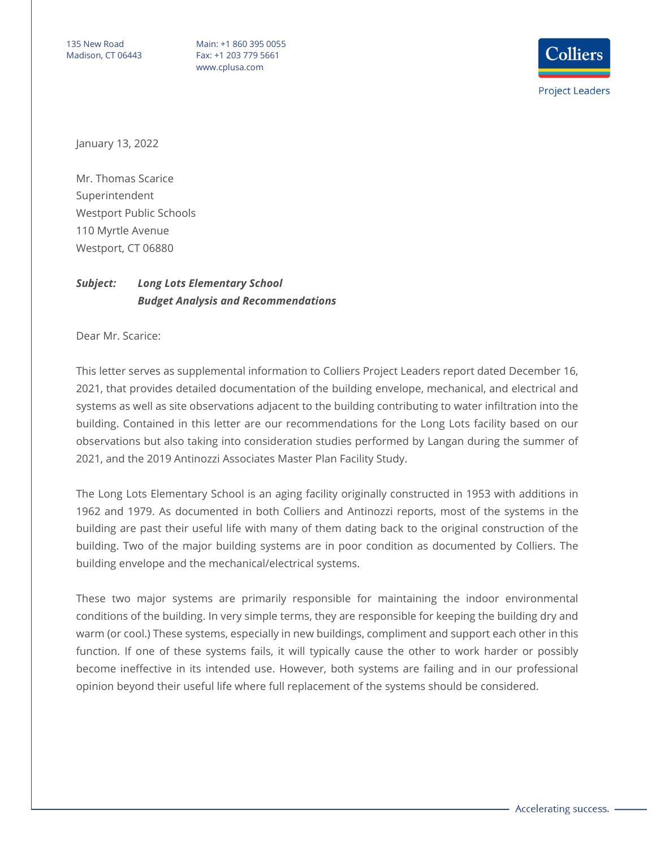135 New Road Madison, CT 06443

Main: +1 860 395 0055 Fax: +1 203 779 5661 www.cplusa.com



January 13, 2022

Mr. Thomas Scarice Superintendent Westport Public Schools 110 Myrtle Avenue Westport, CT 06880

## *Subject: Long Lots Elementary School Budget Analysis and Recommendations*

Dear Mr. Scarice:

This letter serves as supplemental information to Colliers Project Leaders report dated December 16, 2021, that provides detailed documentation of the building envelope, mechanical, and electrical and systems as well as site observations adjacent to the building contributing to water infiltration into the building. Contained in this letter are our recommendations for the Long Lots facility based on our observations but also taking into consideration studies performed by Langan during the summer of 2021, and the 2019 Antinozzi Associates Master Plan Facility Study.

The Long Lots Elementary School is an aging facility originally constructed in 1953 with additions in 1962 and 1979. As documented in both Colliers and Antinozzi reports, most of the systems in the building are past their useful life with many of them dating back to the original construction of the building. Two of the major building systems are in poor condition as documented by Colliers. The building envelope and the mechanical/electrical systems.

These two major systems are primarily responsible for maintaining the indoor environmental conditions of the building. In very simple terms, they are responsible for keeping the building dry and warm (or cool.) These systems, especially in new buildings, compliment and support each other in this function. If one of these systems fails, it will typically cause the other to work harder or possibly become ineffective in its intended use. However, both systems are failing and in our professional opinion beyond their useful life where full replacement of the systems should be considered.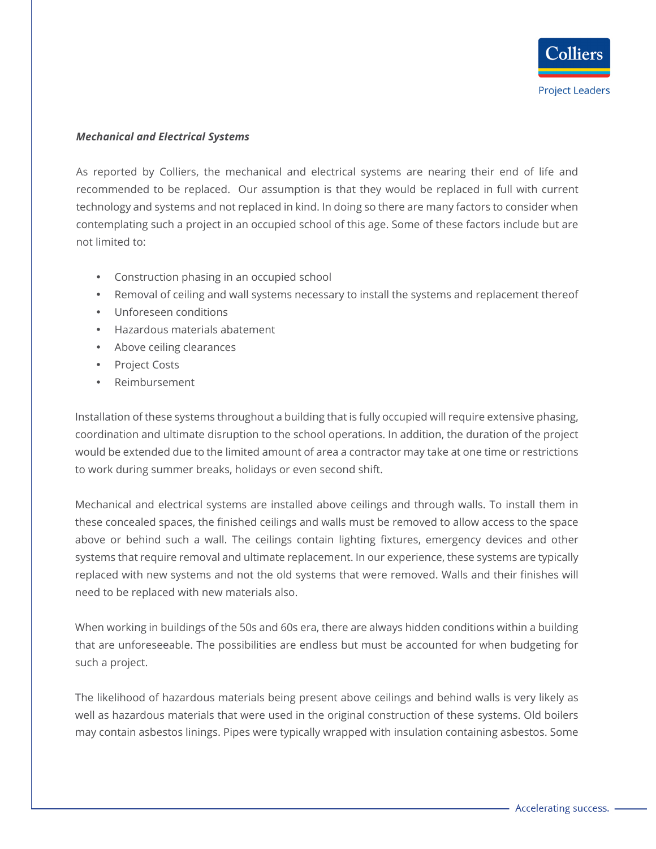## *Mechanical and Electrical Systems*

As reported by Colliers, the mechanical and electrical systems are nearing their end of life and recommended to be replaced. Our assumption is that they would be replaced in full with current technology and systems and not replaced in kind. In doing so there are many factors to consider when contemplating such a project in an occupied school of this age. Some of these factors include but are not limited to:

- Construction phasing in an occupied school
- Removal of ceiling and wall systems necessary to install the systems and replacement thereof
- Unforeseen conditions
- Hazardous materials abatement
- Above ceiling clearances
- Project Costs
- Reimbursement

Installation of these systems throughout a building that is fully occupied will require extensive phasing, coordination and ultimate disruption to the school operations. In addition, the duration of the project would be extended due to the limited amount of area a contractor may take at one time or restrictions to work during summer breaks, holidays or even second shift.

Mechanical and electrical systems are installed above ceilings and through walls. To install them in these concealed spaces, the finished ceilings and walls must be removed to allow access to the space above or behind such a wall. The ceilings contain lighting fixtures, emergency devices and other systems that require removal and ultimate replacement. In our experience, these systems are typically replaced with new systems and not the old systems that were removed. Walls and their finishes will need to be replaced with new materials also.

When working in buildings of the 50s and 60s era, there are always hidden conditions within a building that are unforeseeable. The possibilities are endless but must be accounted for when budgeting for such a project.

The likelihood of hazardous materials being present above ceilings and behind walls is very likely as well as hazardous materials that were used in the original construction of these systems. Old boilers may contain asbestos linings. Pipes were typically wrapped with insulation containing asbestos. Some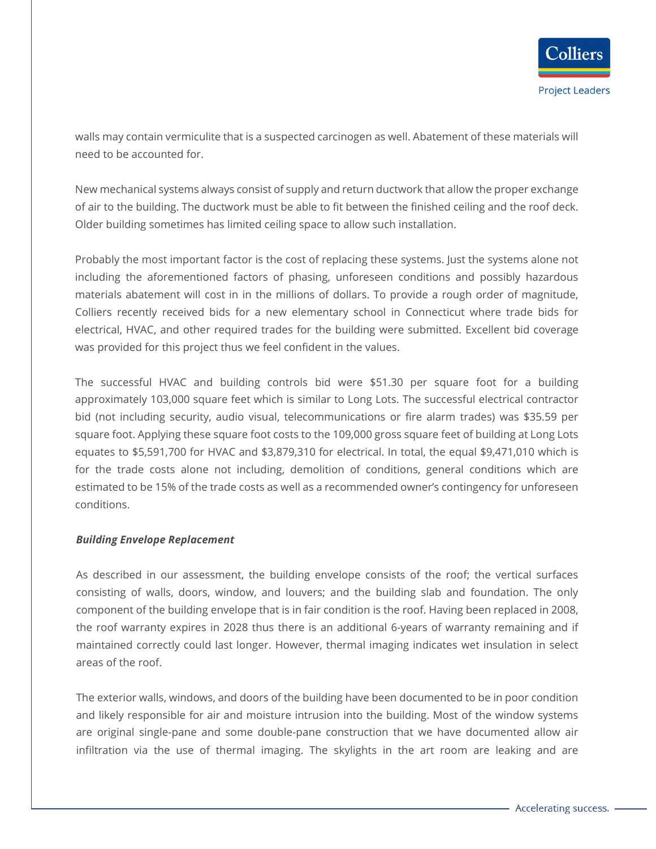walls may contain vermiculite that is a suspected carcinogen as well. Abatement of these materials will need to be accounted for.

New mechanical systems always consist of supply and return ductwork that allow the proper exchange of air to the building. The ductwork must be able to fit between the finished ceiling and the roof deck. Older building sometimes has limited ceiling space to allow such installation.

Probably the most important factor is the cost of replacing these systems. Just the systems alone not including the aforementioned factors of phasing, unforeseen conditions and possibly hazardous materials abatement will cost in in the millions of dollars. To provide a rough order of magnitude, Colliers recently received bids for a new elementary school in Connecticut where trade bids for electrical, HVAC, and other required trades for the building were submitted. Excellent bid coverage was provided for this project thus we feel confident in the values.

The successful HVAC and building controls bid were \$51.30 per square foot for a building approximately 103,000 square feet which is similar to Long Lots. The successful electrical contractor bid (not including security, audio visual, telecommunications or fire alarm trades) was \$35.59 per square foot. Applying these square foot costs to the 109,000 gross square feet of building at Long Lots equates to \$5,591,700 for HVAC and \$3,879,310 for electrical. In total, the equal \$9,471,010 which is for the trade costs alone not including, demolition of conditions, general conditions which are estimated to be 15% of the trade costs as well as a recommended owner's contingency for unforeseen conditions.

## *Building Envelope Replacement*

As described in our assessment, the building envelope consists of the roof; the vertical surfaces consisting of walls, doors, window, and louvers; and the building slab and foundation. The only component of the building envelope that is in fair condition is the roof. Having been replaced in 2008, the roof warranty expires in 2028 thus there is an additional 6-years of warranty remaining and if maintained correctly could last longer. However, thermal imaging indicates wet insulation in select areas of the roof.

The exterior walls, windows, and doors of the building have been documented to be in poor condition and likely responsible for air and moisture intrusion into the building. Most of the window systems are original single-pane and some double-pane construction that we have documented allow air infiltration via the use of thermal imaging. The skylights in the art room are leaking and are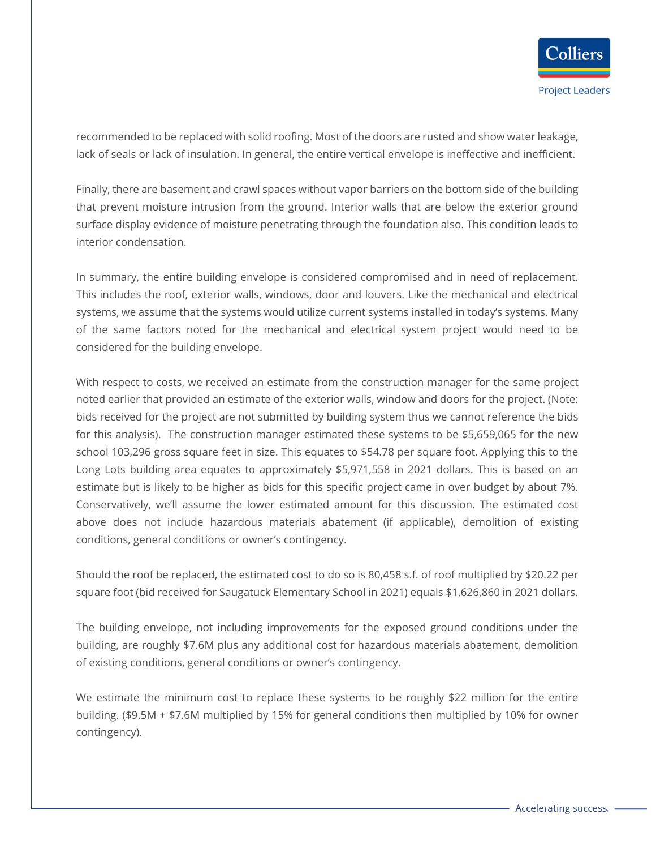recommended to be replaced with solid roofing. Most of the doors are rusted and show water leakage, lack of seals or lack of insulation. In general, the entire vertical envelope is ineffective and inefficient.

Finally, there are basement and crawl spaces without vapor barriers on the bottom side of the building that prevent moisture intrusion from the ground. Interior walls that are below the exterior ground surface display evidence of moisture penetrating through the foundation also. This condition leads to interior condensation.

In summary, the entire building envelope is considered compromised and in need of replacement. This includes the roof, exterior walls, windows, door and louvers. Like the mechanical and electrical systems, we assume that the systems would utilize current systems installed in today's systems. Many of the same factors noted for the mechanical and electrical system project would need to be considered for the building envelope.

With respect to costs, we received an estimate from the construction manager for the same project noted earlier that provided an estimate of the exterior walls, window and doors for the project. (Note: bids received for the project are not submitted by building system thus we cannot reference the bids for this analysis). The construction manager estimated these systems to be \$5,659,065 for the new school 103,296 gross square feet in size. This equates to \$54.78 per square foot. Applying this to the Long Lots building area equates to approximately \$5,971,558 in 2021 dollars. This is based on an estimate but is likely to be higher as bids for this specific project came in over budget by about 7%. Conservatively, we'll assume the lower estimated amount for this discussion. The estimated cost above does not include hazardous materials abatement (if applicable), demolition of existing conditions, general conditions or owner's contingency.

Should the roof be replaced, the estimated cost to do so is 80,458 s.f. of roof multiplied by \$20.22 per square foot (bid received for Saugatuck Elementary School in 2021) equals \$1,626,860 in 2021 dollars.

The building envelope, not including improvements for the exposed ground conditions under the building, are roughly \$7.6M plus any additional cost for hazardous materials abatement, demolition of existing conditions, general conditions or owner's contingency.

We estimate the minimum cost to replace these systems to be roughly \$22 million for the entire building. (\$9.5M + \$7.6M multiplied by 15% for general conditions then multiplied by 10% for owner contingency).